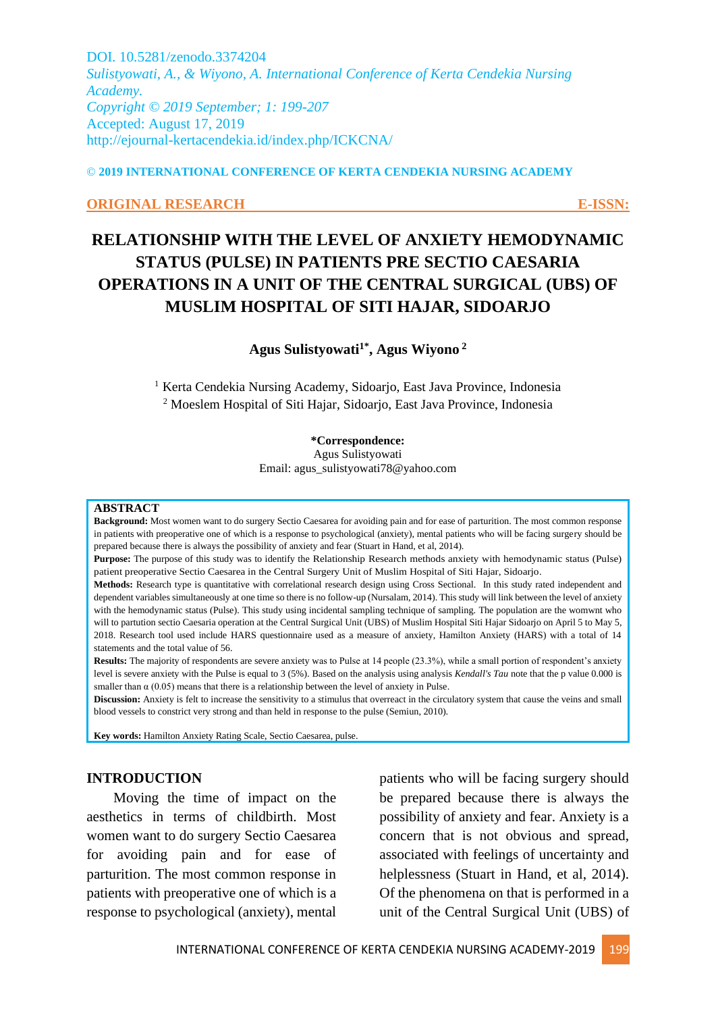DOI. 10.5281/zenodo.3374204 *Sulistyowati, A., & Wiyono, A. International Conference of Kerta Cendekia Nursing Academy. Copyright © 2019 September; 1: 199-207* Accepted: August 17, 2019 http://ejournal-kertacendekia.id/index.php/ICKCNA/

© **2019 INTERNATIONAL CONFERENCE OF KERTA CENDEKIA NURSING ACADEMY**

#### **ORIGINAL RESEARCH E-ISSN:**

# **RELATIONSHIP WITH THE LEVEL OF ANXIETY HEMODYNAMIC STATUS (PULSE) IN PATIENTS PRE SECTIO CAESARIA OPERATIONS IN A UNIT OF THE CENTRAL SURGICAL (UBS) OF MUSLIM HOSPITAL OF SITI HAJAR, SIDOARJO**

**Agus Sulistyowati1\* , Agus Wiyono <sup>2</sup>**

<sup>1</sup> Kerta Cendekia Nursing Academy, Sidoarjo, East Java Province, Indonesia <sup>2</sup> Moeslem Hospital of Siti Hajar, Sidoarjo, East Java Province, Indonesia

#### **\*Correspondence:**

Agus Sulistyowati Email: agus\_sulistyowati78@yahoo.com

#### **ABSTRACT**

**Background:** Most women want to do surgery Sectio Caesarea for avoiding pain and for ease of parturition. The most common response in patients with preoperative one of which is a response to psychological (anxiety), mental patients who will be facing surgery should be prepared because there is always the possibility of anxiety and fear (Stuart in Hand, et al, 2014).

**Purpose:** The purpose of this study was to identify the Relationship Research methods anxiety with hemodynamic status (Pulse) patient preoperative Sectio Caesarea in the Central Surgery Unit of Muslim Hospital of Siti Hajar, Sidoarjo.

**Methods:** Research type is quantitative with correlational research design using Cross Sectional. In this study rated independent and dependent variables simultaneously at one time so there is no follow-up (Nursalam, 2014). This study will link between the level of anxiety with the hemodynamic status (Pulse). This study using incidental sampling technique of sampling. The population are the womwnt who will to partution sectio Caesaria operation at the Central Surgical Unit (UBS) of Muslim Hospital Siti Hajar Sidoarjo on April 5 to May 5, 2018. Research tool used include HARS questionnaire used as a measure of anxiety, Hamilton Anxiety (HARS) with a total of 14 statements and the total value of 56.

Results: The majority of respondents are severe anxiety was to Pulse at 14 people (23.3%), while a small portion of respondent's anxiety level is severe anxiety with the Pulse is equal to 3 (5%). Based on the analysis using analysis *Kendall's Tau* note that the p value 0.000 is smaller than  $\alpha$  (0.05) means that there is a relationship between the level of anxiety in Pulse.

**Discussion:** Anxiety is felt to increase the sensitivity to a stimulus that overreact in the circulatory system that cause the veins and small blood vessels to constrict very strong and than held in response to the pulse (Semiun, 2010).

**Key words:** Hamilton Anxiety Rating Scale, Sectio Caesarea, pulse.

#### **INTRODUCTION**

Moving the time of impact on the aesthetics in terms of childbirth. Most women want to do surgery Sectio Caesarea for avoiding pain and for ease of parturition. The most common response in patients with preoperative one of which is a response to psychological (anxiety), mental patients who will be facing surgery should be prepared because there is always the possibility of anxiety and fear. Anxiety is a concern that is not obvious and spread, associated with feelings of uncertainty and helplessness (Stuart in Hand, et al, 2014). Of the phenomena on that is performed in a unit of the Central Surgical Unit (UBS) of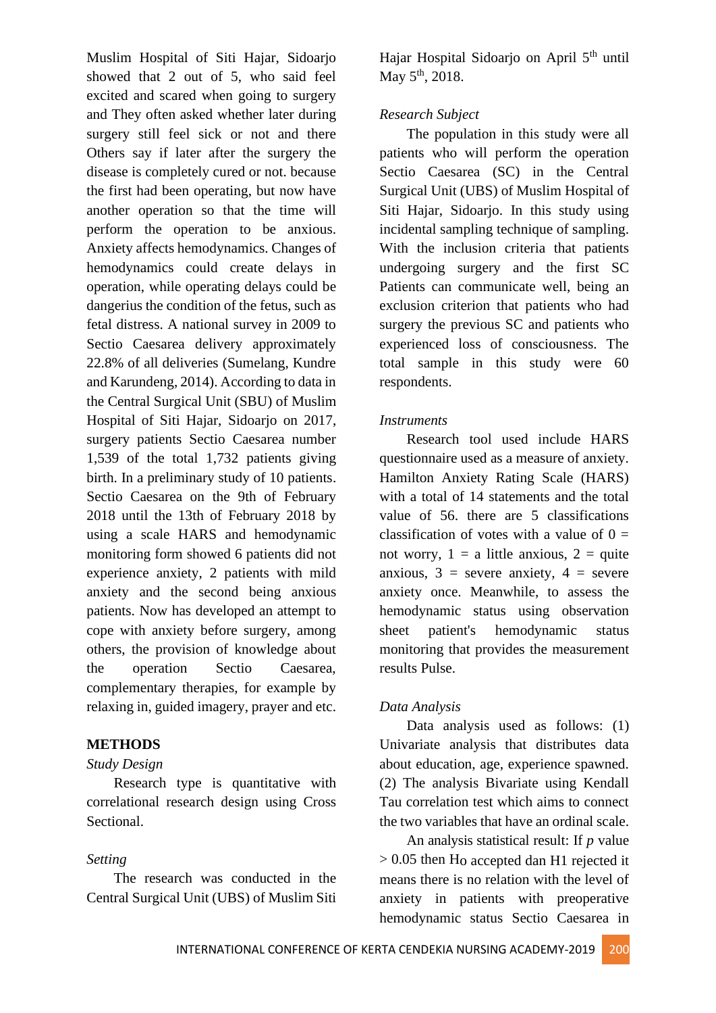Muslim Hospital of Siti Hajar, Sidoarjo showed that 2 out of 5, who said feel excited and scared when going to surgery and They often asked whether later during surgery still feel sick or not and there Others say if later after the surgery the disease is completely cured or not. because the first had been operating, but now have another operation so that the time will perform the operation to be anxious. Anxiety affects hemodynamics. Changes of hemodynamics could create delays in operation, while operating delays could be dangerius the condition of the fetus, such as fetal distress. A national survey in 2009 to Sectio Caesarea delivery approximately 22.8% of all deliveries (Sumelang, Kundre and Karundeng, 2014). According to data in the Central Surgical Unit (SBU) of Muslim Hospital of Siti Hajar, Sidoarjo on 2017, surgery patients Sectio Caesarea number 1,539 of the total 1,732 patients giving birth. In a preliminary study of 10 patients. Sectio Caesarea on the 9th of February 2018 until the 13th of February 2018 by using a scale HARS and hemodynamic monitoring form showed 6 patients did not experience anxiety, 2 patients with mild anxiety and the second being anxious patients. Now has developed an attempt to cope with anxiety before surgery, among others, the provision of knowledge about the operation Sectio Caesarea, complementary therapies, for example by relaxing in, guided imagery, prayer and etc.

# **METHODS**

#### *Study Design*

Research type is quantitative with correlational research design using Cross Sectional.

## *Setting*

The research was conducted in the Central Surgical Unit (UBS) of Muslim Siti

Hajar Hospital Sidoarjo on April 5<sup>th</sup> until May  $5^{\text{th}}$ , 2018.

# *Research Subject*

The population in this study were all patients who will perform the operation Sectio Caesarea (SC) in the Central Surgical Unit (UBS) of Muslim Hospital of Siti Hajar, Sidoarjo. In this study using incidental sampling technique of sampling. With the inclusion criteria that patients undergoing surgery and the first SC Patients can communicate well, being an exclusion criterion that patients who had surgery the previous SC and patients who experienced loss of consciousness. The total sample in this study were 60 respondents.

## *Instruments*

Research tool used include HARS questionnaire used as a measure of anxiety. Hamilton Anxiety Rating Scale (HARS) with a total of 14 statements and the total value of 56. there are 5 classifications classification of votes with a value of  $0 =$ not worry,  $1 = a$  little anxious,  $2 = quite$ anxious,  $3 =$  severe anxiety,  $4 =$  severe anxiety once. Meanwhile, to assess the hemodynamic status using observation sheet patient's hemodynamic status monitoring that provides the measurement results Pulse.

## *Data Analysis*

Data analysis used as follows: (1) Univariate analysis that distributes data about education, age, experience spawned. (2) The analysis Bivariate using Kendall Tau correlation test which aims to connect the two variables that have an ordinal scale.

An analysis statistical result: If *p* value > 0.05 then Ho accepted dan H1 rejected it means there is no relation with the level of anxiety in patients with preoperative hemodynamic status Sectio Caesarea in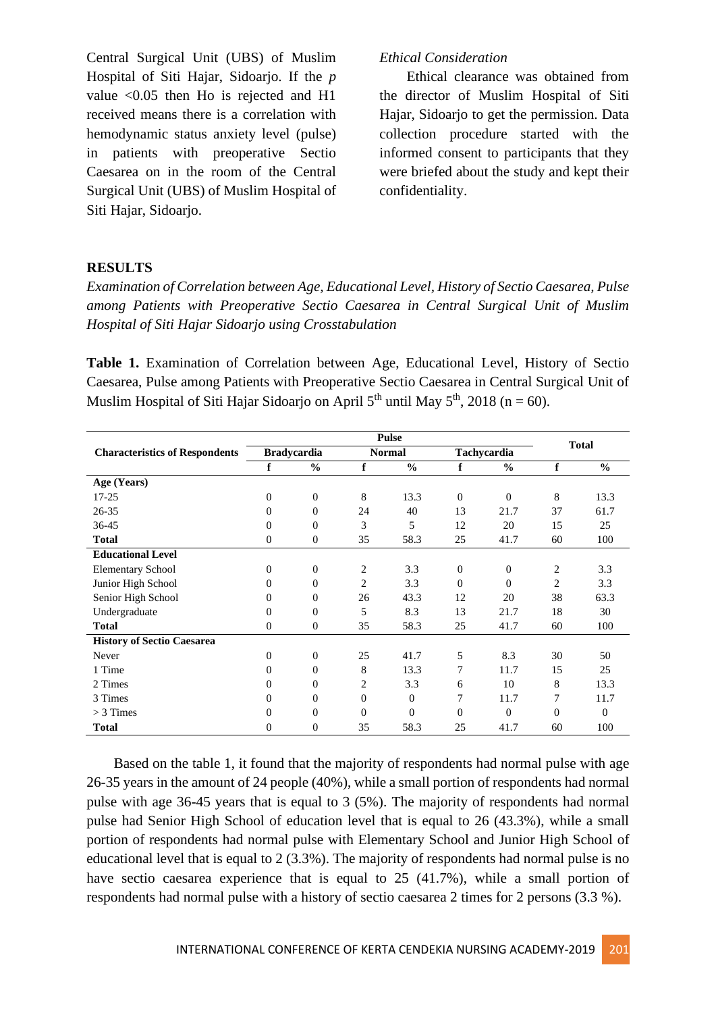Central Surgical Unit (UBS) of Muslim Hospital of Siti Hajar, Sidoarjo. If the *p* value <0.05 then Ho is rejected and H1 received means there is a correlation with hemodynamic status anxiety level (pulse) in patients with preoperative Sectio Caesarea on in the room of the Central Surgical Unit (UBS) of Muslim Hospital of Siti Hajar, Sidoarjo.

#### *Ethical Consideration*

Ethical clearance was obtained from the director of Muslim Hospital of Siti Hajar, Sidoarjo to get the permission. Data collection procedure started with the informed consent to participants that they were briefed about the study and kept their confidentiality.

#### **RESULTS**

*Examination of Correlation between Age, Educational Level, History of Sectio Caesarea, Pulse among Patients with Preoperative Sectio Caesarea in Central Surgical Unit of Muslim Hospital of Siti Hajar Sidoarjo using Crosstabulation*

**Table 1.** Examination of Correlation between Age, Educational Level, History of Sectio Caesarea, Pulse among Patients with Preoperative Sectio Caesarea in Central Surgical Unit of Muslim Hospital of Siti Hajar Sidoarjo on April  $5<sup>th</sup>$  until May  $5<sup>th</sup>$ , 2018 (n = 60).

|                                       | <b>Pulse</b>       |                |                |               |              |                |                |               |  |
|---------------------------------------|--------------------|----------------|----------------|---------------|--------------|----------------|----------------|---------------|--|
| <b>Characteristics of Respondents</b> | <b>Bradycardia</b> |                | <b>Normal</b>  |               | Tachycardia  |                | <b>Total</b>   |               |  |
|                                       | f                  | $\frac{6}{6}$  | f              | $\frac{0}{0}$ | f            | $\frac{0}{0}$  | f              | $\frac{6}{6}$ |  |
| Age (Years)                           |                    |                |                |               |              |                |                |               |  |
| 17-25                                 | $\overline{0}$     | $\overline{0}$ | 8              | 13.3          | $\theta$     | $\overline{0}$ | 8              | 13.3          |  |
| 26-35                                 | $\mathbf{0}$       | $\overline{0}$ | 24             | 40            | 13           | 21.7           | 37             | 61.7          |  |
| 36-45                                 | $\mathbf{0}$       | $\overline{0}$ | 3              | 5             | 12           | 20             | 15             | 25            |  |
| <b>Total</b>                          | $\mathbf{0}$       | $\theta$       | 35             | 58.3          | 25           | 41.7           | 60             | 100           |  |
| <b>Educational Level</b>              |                    |                |                |               |              |                |                |               |  |
| <b>Elementary School</b>              | $\overline{0}$     | $\theta$       | 2              | 3.3           | $\mathbf{0}$ | $\mathbf{0}$   | 2              | 3.3           |  |
| Junior High School                    | $\overline{0}$     | $\theta$       | 2              | 3.3           | $\Omega$     | $\mathbf{0}$   | $\overline{c}$ | 3.3           |  |
| Senior High School                    | $\Omega$           | $\Omega$       | 26             | 43.3          | 12           | 20             | 38             | 63.3          |  |
| Undergraduate                         | $\Omega$           | $\Omega$       | 5              | 8.3           | 13           | 21.7           | 18             | 30            |  |
| <b>Total</b>                          | $\mathbf{0}$       | $\theta$       | 35             | 58.3          | 25           | 41.7           | 60             | 100           |  |
| <b>History of Sectio Caesarea</b>     |                    |                |                |               |              |                |                |               |  |
| Never                                 | $\overline{0}$     | $\theta$       | 25             | 41.7          | 5            | 8.3            | 30             | 50            |  |
| 1 Time                                | $\Omega$           | $\Omega$       | 8              | 13.3          | 7            | 11.7           | 15             | 25            |  |
| 2 Times                               | $\mathbf{0}$       | $\Omega$       | 2              | 3.3           | 6            | 10             | 8              | 13.3          |  |
| 3 Times                               | $\overline{0}$     | $\theta$       | $\overline{0}$ | $\theta$      | 7            | 11.7           | 7              | 11.7          |  |
| $>$ 3 Times                           | $\Omega$           | $\Omega$       | $\Omega$       | $\theta$      | $\Omega$     | $\Omega$       | $\Omega$       | $\Omega$      |  |
| <b>Total</b>                          | 0                  | $\overline{0}$ | 35             | 58.3          | 25           | 41.7           | 60             | 100           |  |

Based on the table 1, it found that the majority of respondents had normal pulse with age 26-35 years in the amount of 24 people (40%), while a small portion of respondents had normal pulse with age 36-45 years that is equal to 3 (5%). The majority of respondents had normal pulse had Senior High School of education level that is equal to 26 (43.3%), while a small portion of respondents had normal pulse with Elementary School and Junior High School of educational level that is equal to 2 (3.3%). The majority of respondents had normal pulse is no have sectio caesarea experience that is equal to 25 (41.7%), while a small portion of respondents had normal pulse with a history of sectio caesarea 2 times for 2 persons (3.3 %).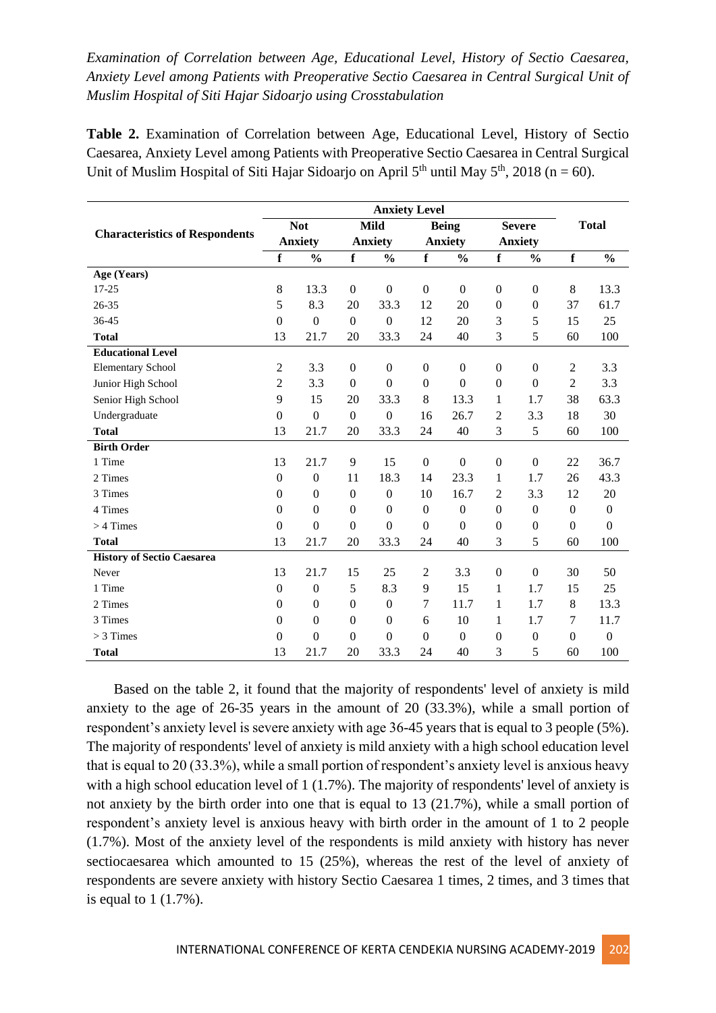# *Examination of Correlation between Age, Educational Level, History of Sectio Caesarea, Anxiety Level among Patients with Preoperative Sectio Caesarea in Central Surgical Unit of Muslim Hospital of Siti Hajar Sidoarjo using Crosstabulation*

**Table 2.** Examination of Correlation between Age, Educational Level, History of Sectio Caesarea, Anxiety Level among Patients with Preoperative Sectio Caesarea in Central Surgical Unit of Muslim Hospital of Siti Hajar Sidoarjo on April  $5<sup>th</sup>$  until May  $5<sup>th</sup>$ , 2018 (n = 60).

|                                       | <b>Anxiety Level</b> |                  |                  |                  |                  |                  |                  |                  |                |                  |  |
|---------------------------------------|----------------------|------------------|------------------|------------------|------------------|------------------|------------------|------------------|----------------|------------------|--|
|                                       | <b>Not</b>           |                  | <b>Mild</b>      |                  | <b>Being</b>     |                  | <b>Severe</b>    |                  | <b>Total</b>   |                  |  |
| <b>Characteristics of Respondents</b> |                      | <b>Anxiety</b>   |                  | <b>Anxiety</b>   |                  | <b>Anxiety</b>   |                  | <b>Anxiety</b>   |                |                  |  |
|                                       | $\mathbf f$          | $\frac{0}{0}$    | $\mathbf f$      | $\frac{0}{0}$    | $\mathbf f$      | $\frac{0}{0}$    | $\mathbf f$      | $\frac{0}{0}$    | $\mathbf f$    | $\frac{0}{0}$    |  |
| Age (Years)                           |                      |                  |                  |                  |                  |                  |                  |                  |                |                  |  |
| $17 - 25$                             | 8                    | 13.3             | $\boldsymbol{0}$ | $\boldsymbol{0}$ | $\boldsymbol{0}$ | $\boldsymbol{0}$ | $\boldsymbol{0}$ | $\boldsymbol{0}$ | $\,8\,$        | 13.3             |  |
| 26-35                                 | 5                    | 8.3              | 20               | 33.3             | 12               | 20               | $\boldsymbol{0}$ | $\mathbf{0}$     | 37             | 61.7             |  |
| 36-45                                 | $\boldsymbol{0}$     | $\boldsymbol{0}$ | $\boldsymbol{0}$ | $\boldsymbol{0}$ | 12               | 20               | 3                | 5                | 15             | 25               |  |
| <b>Total</b>                          | 13                   | 21.7             | 20               | 33.3             | 24               | 40               | 3                | 5                | 60             | 100              |  |
| <b>Educational Level</b>              |                      |                  |                  |                  |                  |                  |                  |                  |                |                  |  |
| <b>Elementary School</b>              | 2                    | 3.3              | $\mathbf{0}$     | $\mathbf{0}$     | $\mathbf{0}$     | $\mathbf{0}$     | $\mathbf{0}$     | $\mathbf{0}$     | $\overline{2}$ | 3.3              |  |
| Junior High School                    | $\overline{c}$       | 3.3              | $\boldsymbol{0}$ | $\boldsymbol{0}$ | $\boldsymbol{0}$ | $\boldsymbol{0}$ | $\boldsymbol{0}$ | $\boldsymbol{0}$ | $\overline{2}$ | 3.3              |  |
| Senior High School                    | 9                    | 15               | 20               | 33.3             | 8                | 13.3             | 1                | 1.7              | 38             | 63.3             |  |
| Undergraduate                         | $\boldsymbol{0}$     | $\Omega$         | $\boldsymbol{0}$ | $\boldsymbol{0}$ | 16               | 26.7             | $\overline{2}$   | 3.3              | 18             | 30               |  |
| <b>Total</b>                          | 13                   | 21.7             | 20               | 33.3             | 24               | 40               | 3                | 5                | 60             | 100              |  |
| <b>Birth Order</b>                    |                      |                  |                  |                  |                  |                  |                  |                  |                |                  |  |
| 1 Time                                | 13                   | 21.7             | 9                | 15               | $\Omega$         | $\Omega$         | $\boldsymbol{0}$ | $\Omega$         | 22             | 36.7             |  |
| 2 Times                               | $\mathbf{0}$         | $\boldsymbol{0}$ | 11               | 18.3             | 14               | 23.3             | 1                | 1.7              | 26             | 43.3             |  |
| 3 Times                               | $\boldsymbol{0}$     | $\mathbf{0}$     | $\boldsymbol{0}$ | $\boldsymbol{0}$ | 10               | 16.7             | $\mathfrak{2}$   | 3.3              | 12             | 20               |  |
| 4 Times                               | $\mathbf{0}$         | $\boldsymbol{0}$ | $\boldsymbol{0}$ | $\boldsymbol{0}$ | $\boldsymbol{0}$ | $\boldsymbol{0}$ | $\boldsymbol{0}$ | $\boldsymbol{0}$ | $\mathbf{0}$   | $\boldsymbol{0}$ |  |
| $>$ 4 Times                           | $\Omega$             | $\Omega$         | $\boldsymbol{0}$ | $\theta$         | $\theta$         | $\Omega$         | $\theta$         | $\mathbf{0}$     | $\Omega$       | $\overline{0}$   |  |
| <b>Total</b>                          | 13                   | 21.7             | 20               | 33.3             | 24               | 40               | 3                | 5                | 60             | 100              |  |
| <b>History of Sectio Caesarea</b>     |                      |                  |                  |                  |                  |                  |                  |                  |                |                  |  |
| Never                                 | 13                   | 21.7             | 15               | 25               | $\mathfrak{2}$   | 3.3              | $\boldsymbol{0}$ | $\mathbf{0}$     | 30             | 50               |  |
| 1 Time                                | $\mathbf{0}$         | $\mathbf{0}$     | 5                | 8.3              | 9                | 15               | 1                | 1.7              | 15             | 25               |  |
| 2 Times                               | $\boldsymbol{0}$     | $\boldsymbol{0}$ | $\boldsymbol{0}$ | $\boldsymbol{0}$ | $\tau$           | 11.7             | $\mathbf{1}$     | 1.7              | $\,8\,$        | 13.3             |  |
| 3 Times                               | $\theta$             | $\boldsymbol{0}$ | $\boldsymbol{0}$ | $\boldsymbol{0}$ | 6                | 10               | 1                | 1.7              | 7              | 11.7             |  |
| $>$ 3 Times                           | $\theta$             | $\Omega$         | $\Omega$         | $\theta$         | $\Omega$         | $\boldsymbol{0}$ | $\overline{0}$   | $\boldsymbol{0}$ | $\mathbf{0}$   | $\boldsymbol{0}$ |  |
| <b>Total</b>                          | 13                   | 21.7             | 20               | 33.3             | 24               | 40               | 3                | 5                | 60             | 100              |  |

Based on the table 2, it found that the majority of respondents' level of anxiety is mild anxiety to the age of 26-35 years in the amount of 20 (33.3%), while a small portion of respondent's anxiety level is severe anxiety with age 36-45 years that is equal to 3 people (5%). The majority of respondents' level of anxiety is mild anxiety with a high school education level that is equal to 20 (33.3%), while a small portion of respondent's anxiety level is anxious heavy with a high school education level of 1 (1.7%). The majority of respondents' level of anxiety is not anxiety by the birth order into one that is equal to 13 (21.7%), while a small portion of respondent's anxiety level is anxious heavy with birth order in the amount of 1 to 2 people (1.7%). Most of the anxiety level of the respondents is mild anxiety with history has never sectiocaesarea which amounted to 15 (25%), whereas the rest of the level of anxiety of respondents are severe anxiety with history Sectio Caesarea 1 times, 2 times, and 3 times that is equal to 1 (1.7%).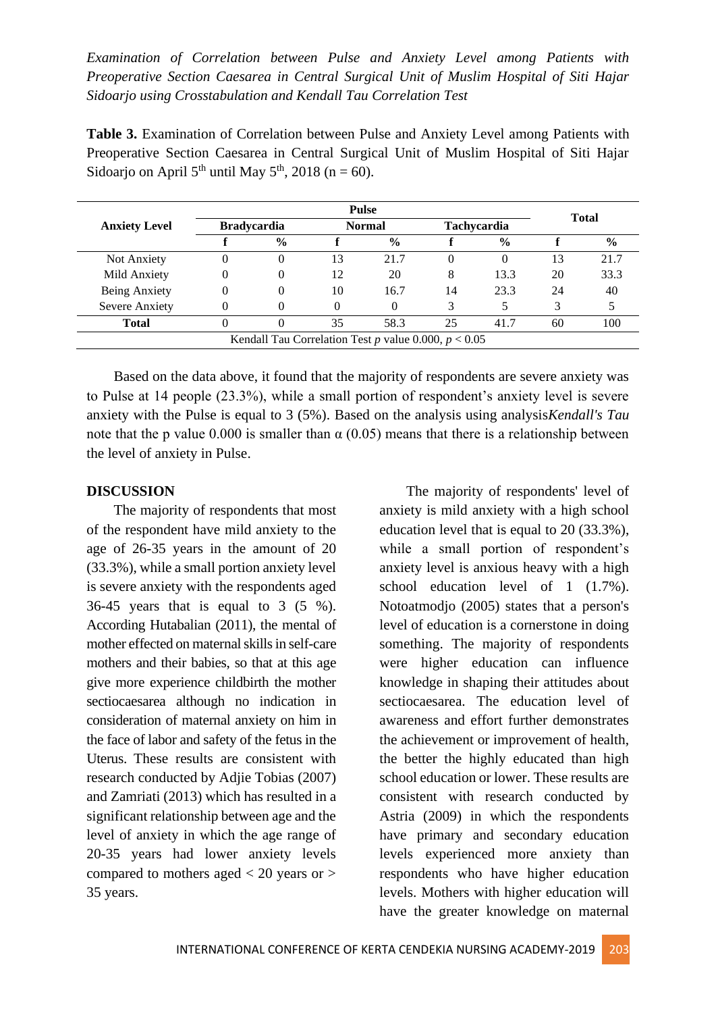*Examination of Correlation between Pulse and Anxiety Level among Patients with Preoperative Section Caesarea in Central Surgical Unit of Muslim Hospital of Siti Hajar Sidoarjo using Crosstabulation and Kendall Tau Correlation Test*

**Table 3.** Examination of Correlation between Pulse and Anxiety Level among Patients with Preoperative Section Caesarea in Central Surgical Unit of Muslim Hospital of Siti Hajar Sidoarjo on April 5<sup>th</sup> until May 5<sup>th</sup>, 2018 (n = 60).

|                      |                    | <b>Total</b>  |               |                                                        |    |               |    |               |  |
|----------------------|--------------------|---------------|---------------|--------------------------------------------------------|----|---------------|----|---------------|--|
| <b>Anxiety Level</b> | <b>Bradycardia</b> |               | <b>Normal</b> |                                                        |    | Tachycardia   |    |               |  |
|                      |                    | $\frac{0}{0}$ |               | $\frac{6}{6}$                                          |    | $\frac{6}{6}$ |    | $\frac{6}{9}$ |  |
| Not Anxiety          |                    |               | 13            | 21.7                                                   |    |               | 13 | 21.7          |  |
| Mild Anxiety         |                    |               | 12            | 20                                                     | 8  | 13.3          | 20 | 33.3          |  |
| Being Anxiety        |                    |               | 10            | 16.7                                                   | 14 | 23.3          | 24 | 40            |  |
| Severe Anxiety       |                    |               |               | 0                                                      |    |               | 3  |               |  |
| <b>Total</b>         |                    |               | 35            | 58.3                                                   | 25 | 41.7          | 60 | 100           |  |
|                      |                    |               |               | Kendall Tau Correlation Test p value 0.000, $p < 0.05$ |    |               |    |               |  |

Based on the data above, it found that the majority of respondents are severe anxiety was to Pulse at 14 people (23.3%), while a small portion of respondent's anxiety level is severe anxiety with the Pulse is equal to 3 (5%). Based on the analysis using analysis*Kendall's Tau* note that the p value 0.000 is smaller than  $\alpha$  (0.05) means that there is a relationship between the level of anxiety in Pulse.

#### **DISCUSSION**

The majority of respondents that most of the respondent have mild anxiety to the age of 26-35 years in the amount of 20 (33.3%), while a small portion anxiety level is severe anxiety with the respondents aged 36-45 years that is equal to 3 (5 %). According Hutabalian (2011), the mental of mother effected on maternal skills in self-care mothers and their babies, so that at this age give more experience childbirth the mother sectiocaesarea although no indication in consideration of maternal anxiety on him in the face of labor and safety of the fetus in the Uterus. These results are consistent with research conducted by Adjie Tobias (2007) and Zamriati (2013) which has resulted in a significant relationship between age and the level of anxiety in which the age range of 20-35 years had lower anxiety levels compared to mothers aged < 20 years or > 35 years.

The majority of respondents' level of anxiety is mild anxiety with a high school education level that is equal to 20 (33.3%), while a small portion of respondent's anxiety level is anxious heavy with a high school education level of 1 (1.7%). Notoatmodjo (2005) states that a person's level of education is a cornerstone in doing something. The majority of respondents were higher education can influence knowledge in shaping their attitudes about sectiocaesarea. The education level of awareness and effort further demonstrates the achievement or improvement of health, the better the highly educated than high school education or lower. These results are consistent with research conducted by Astria (2009) in which the respondents have primary and secondary education levels experienced more anxiety than respondents who have higher education levels. Mothers with higher education will have the greater knowledge on maternal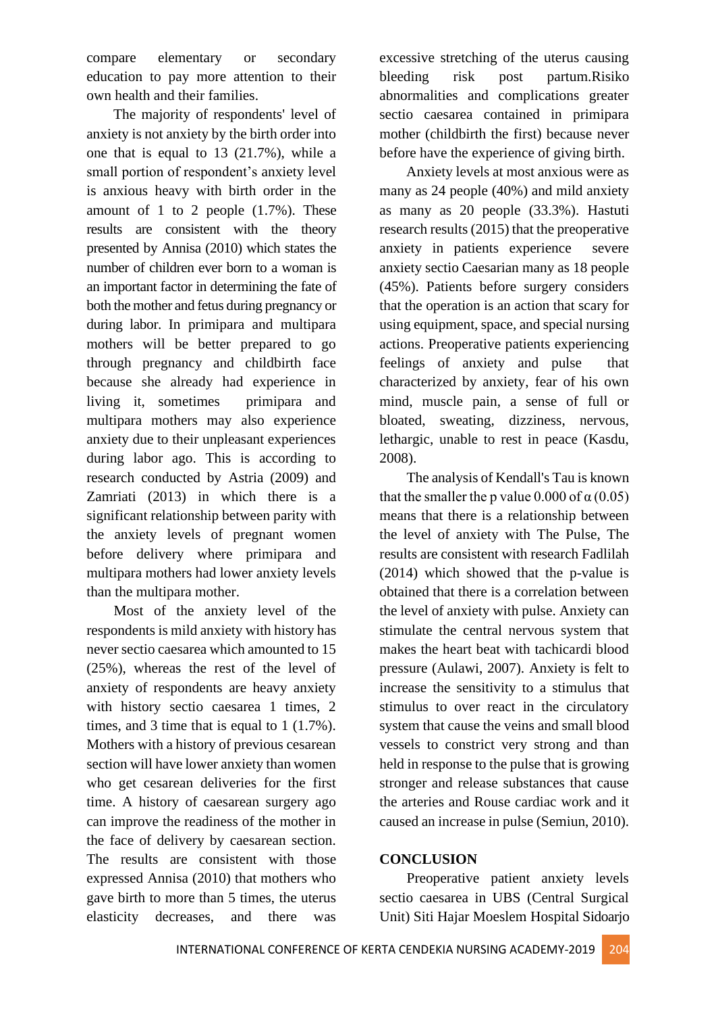compare elementary or secondary education to pay more attention to their own health and their families.

The majority of respondents' level of anxiety is not anxiety by the birth order into one that is equal to 13 (21.7%), while a small portion of respondent's anxiety level is anxious heavy with birth order in the amount of 1 to 2 people  $(1.7\%)$ . These results are consistent with the theory presented by Annisa (2010) which states the number of children ever born to a woman is an important factor in determining the fate of both the mother and fetus during pregnancy or during labor. In primipara and multipara mothers will be better prepared to go through pregnancy and childbirth face because she already had experience in living it, sometimes primipara and multipara mothers may also experience anxiety due to their unpleasant experiences during labor ago. This is according to research conducted by Astria (2009) and Zamriati (2013) in which there is a significant relationship between parity with the anxiety levels of pregnant women before delivery where primipara and multipara mothers had lower anxiety levels than the multipara mother.

Most of the anxiety level of the respondents is mild anxiety with history has never sectio caesarea which amounted to 15 (25%), whereas the rest of the level of anxiety of respondents are heavy anxiety with history sectio caesarea 1 times, 2 times, and 3 time that is equal to 1 (1.7%). Mothers with a history of previous cesarean section will have lower anxiety than women who get cesarean deliveries for the first time. A history of caesarean surgery ago can improve the readiness of the mother in the face of delivery by caesarean section. The results are consistent with those expressed Annisa (2010) that mothers who gave birth to more than 5 times, the uterus elasticity decreases, and there was

excessive stretching of the uterus causing bleeding risk post partum.Risiko abnormalities and complications greater sectio caesarea contained in primipara mother (childbirth the first) because never before have the experience of giving birth.

Anxiety levels at most anxious were as many as 24 people (40%) and mild anxiety as many as 20 people (33.3%). Hastuti research results (2015) that the preoperative anxiety in patients experience severe anxiety sectio Caesarian many as 18 people (45%). Patients before surgery considers that the operation is an action that scary for using equipment, space, and special nursing actions. Preoperative patients experiencing feelings of anxiety and pulse that characterized by anxiety, fear of his own mind, muscle pain, a sense of full or bloated, sweating, dizziness, nervous, lethargic, unable to rest in peace (Kasdu, 2008).

The analysis of Kendall's Tau is known that the smaller the p value 0.000 of  $\alpha$  (0.05) means that there is a relationship between the level of anxiety with The Pulse, The results are consistent with research Fadlilah (2014) which showed that the p-value is obtained that there is a correlation between the level of anxiety with pulse. Anxiety can stimulate the central nervous system that makes the heart beat with tachicardi blood pressure (Aulawi, 2007). Anxiety is felt to increase the sensitivity to a stimulus that stimulus to over react in the circulatory system that cause the veins and small blood vessels to constrict very strong and than held in response to the pulse that is growing stronger and release substances that cause the arteries and Rouse cardiac work and it caused an increase in pulse (Semiun, 2010).

# **CONCLUSION**

Preoperative patient anxiety levels sectio caesarea in UBS (Central Surgical Unit) Siti Hajar Moeslem Hospital Sidoarjo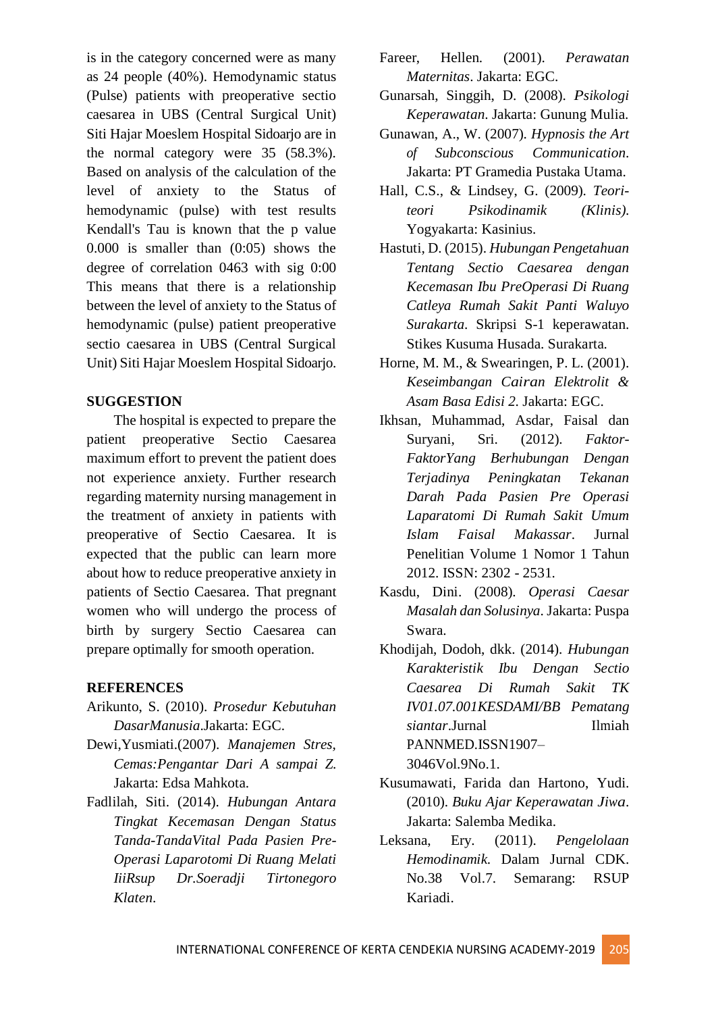is in the category concerned were as many as 24 people (40%). Hemodynamic status (Pulse) patients with preoperative sectio caesarea in UBS (Central Surgical Unit) Siti Hajar Moeslem Hospital Sidoarjo are in the normal category were 35 (58.3%). Based on analysis of the calculation of the level of anxiety to the Status of hemodynamic (pulse) with test results Kendall's Tau is known that the p value 0.000 is smaller than (0:05) shows the degree of correlation 0463 with sig 0:00 This means that there is a relationship between the level of anxiety to the Status of hemodynamic (pulse) patient preoperative sectio caesarea in UBS (Central Surgical Unit) Siti Hajar Moeslem Hospital Sidoarjo.

# **SUGGESTION**

The hospital is expected to prepare the patient preoperative Sectio Caesarea maximum effort to prevent the patient does not experience anxiety. Further research regarding maternity nursing management in the treatment of anxiety in patients with preoperative of Sectio Caesarea. It is expected that the public can learn more about how to reduce preoperative anxiety in patients of Sectio Caesarea. That pregnant women who will undergo the process of birth by surgery Sectio Caesarea can prepare optimally for smooth operation.

## **REFERENCES**

- Arikunto, S. (2010). *Prosedur Kebutuhan DasarManusia*.Jakarta: EGC.
- Dewi,Yusmiati.(2007). *Manajemen Stres, Cemas:Pengantar Dari A sampai Z*. Jakarta: Edsa Mahkota.
- Fadlilah, Siti. (2014). *Hubungan Antara Tingkat Kecemasan Dengan Status Tanda-TandaVital Pada Pasien Pre-Operasi Laparotomi Di Ruang Melati IiiRsup Dr.Soeradji Tirtonegoro Klaten*.
- Fareer, Hellen. (2001). *Perawatan Maternitas*. Jakarta: EGC.
- Gunarsah, Singgih, D. (2008). *Psikologi Keperawatan*. Jakarta: Gunung Mulia.
- Gunawan, A., W. (2007). *Hypnosis the Art of Subconscious Communication*. Jakarta: PT Gramedia Pustaka Utama.
- Hall, C.S., & Lindsey, G. (2009). *Teoriteori Psikodinamik (Klinis)*. Yogyakarta: Kasinius.
- Hastuti, D. (2015). *Hubungan Pengetahuan Tentang Sectio Caesarea dengan Kecemasan Ibu PreOperasi Di Ruang Catleya Rumah Sakit Panti Waluyo Surakarta*. Skripsi S-1 keperawatan. Stikes Kusuma Husada. Surakarta.
- Horne, M. M., & Swearingen, P. L. (2001). *Keseimbangan Cairan Elektrolit & Asam Basa Edisi 2*. Jakarta: EGC.
- Ikhsan, Muhammad, Asdar, Faisal dan Suryani, Sri. (2012). *Faktor-FaktorYang Berhubungan Dengan Terjadinya Peningkatan Tekanan Darah Pada Pasien Pre Operasi Laparatomi Di Rumah Sakit Umum Islam Faisal Makassar*. Jurnal Penelitian Volume 1 Nomor 1 Tahun 2012. ISSN: 2302 - 2531.
- Kasdu, Dini. (2008). *Operasi Caesar Masalah dan Solusinya*. Jakarta: Puspa Swara.
- Khodijah, Dodoh, dkk. (2014). *Hubungan Karakteristik Ibu Dengan Sectio Caesarea Di Rumah Sakit TK IV01.07.001KESDAMI/BB Pematang siantar*.Jurnal Ilmiah PANNMED.ISSN1907– 3046Vol.9No.1.
- Kusumawati, Farida dan Hartono, Yudi. (2010). *Buku Ajar Keperawatan Jiwa*. Jakarta: Salemba Medika.
- Leksana, Ery. (2011). *Pengelolaan Hemodinamik*. Dalam Jurnal CDK. No.38 Vol.7. Semarang: RSUP Kariadi.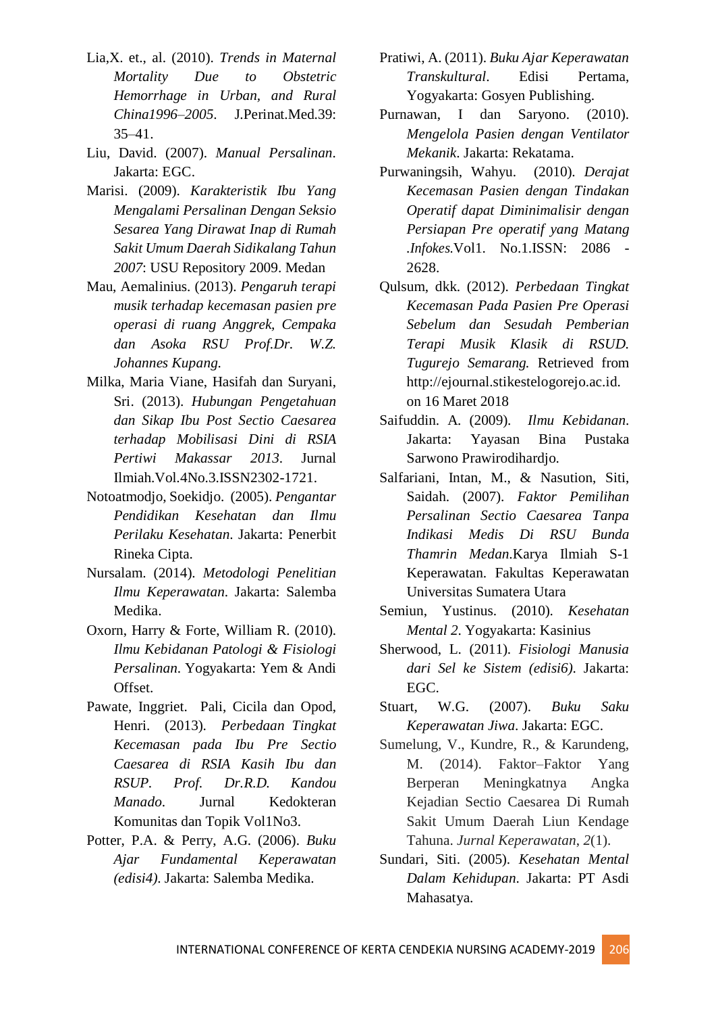- Lia,X. et., al. (2010). *Trends in Maternal Mortality Due to Obstetric Hemorrhage in Urban, and Rural China1996–2005*. J.Perinat.Med.39: 35–41.
- Liu, David. (2007). *Manual Persalinan*. Jakarta: EGC.
- Marisi. (2009). *Karakteristik Ibu Yang Mengalami Persalinan Dengan Seksio Sesarea Yang Dirawat Inap di Rumah Sakit Umum Daerah Sidikalang Tahun 2007*: USU Repository 2009. Medan
- Mau, Aemalinius. (2013). *Pengaruh terapi musik terhadap kecemasan pasien pre operasi di ruang Anggrek, Cempaka dan Asoka RSU Prof.Dr. W.Z. Johannes Kupang.*
- Milka, Maria Viane, Hasifah dan Suryani, Sri. (2013). *Hubungan Pengetahuan dan Sikap Ibu Post Sectio Caesarea terhadap Mobilisasi Dini di RSIA Pertiwi Makassar 2013*. Jurnal Ilmiah.Vol.4No.3.ISSN2302-1721.
- Notoatmodjo, Soekidjo. (2005). *Pengantar Pendidikan Kesehatan dan Ilmu Perilaku Kesehatan*. Jakarta: Penerbit Rineka Cipta.
- Nursalam. (2014). *Metodologi Penelitian Ilmu Keperawatan*. Jakarta: Salemba Medika.
- Oxorn, Harry & Forte, William R. (2010). *Ilmu Kebidanan Patologi & Fisiologi Persalinan*. Yogyakarta: Yem & Andi Offset.
- Pawate, Inggriet. Pali, Cicila dan Opod, Henri. (2013). *Perbedaan Tingkat Kecemasan pada Ibu Pre Sectio Caesarea di RSIA Kasih Ibu dan RSUP. Prof. Dr.R.D. Kandou Manado*. Jurnal Kedokteran Komunitas dan Topik Vol1No3.
- Potter, P.A. & Perry, A.G. (2006). *Buku Ajar Fundamental Keperawatan (edisi4)*. Jakarta: Salemba Medika.
- Pratiwi, A. (2011). *Buku Ajar Keperawatan Transkultural*. Edisi Pertama, Yogyakarta: Gosyen Publishing.
- Purnawan, I dan Saryono. (2010). *Mengelola Pasien dengan Ventilator Mekanik*. Jakarta: Rekatama.
- Purwaningsih, Wahyu. (2010). *Derajat Kecemasan Pasien dengan Tindakan Operatif dapat Diminimalisir dengan Persiapan Pre operatif yang Matang .Infokes*.Vol1. No.1.ISSN: 2086 - 2628.
- Qulsum, dkk. (2012). *Perbedaan Tingkat Kecemasan Pada Pasien Pre Operasi Sebelum dan Sesudah Pemberian Terapi Musik Klasik di RSUD. Tugurejo Semarang.* Retrieved from http://ejournal.stikestelogorejo.ac.id. on 16 Maret 2018
- Saifuddin. A. (2009). *Ilmu Kebidanan*. Jakarta: Yayasan Bina Pustaka Sarwono Prawirodihardjo.
- Salfariani, Intan, M., & Nasution, Siti, Saidah. (2007). *Faktor Pemilihan Persalinan Sectio Caesarea Tanpa Indikasi Medis Di RSU Bunda Thamrin Medan*.Karya Ilmiah S-1 Keperawatan. Fakultas Keperawatan Universitas Sumatera Utara
- Semiun, Yustinus. (2010). *Kesehatan Mental 2*. Yogyakarta: Kasinius
- Sherwood, L. (2011). *Fisiologi Manusia dari Sel ke Sistem (edisi6)*. Jakarta: EGC.
- Stuart, W.G. (2007). *Buku Saku Keperawatan Jiwa*. Jakarta: EGC.
- Sumelung, V., Kundre, R., & Karundeng, M. (2014). Faktor–Faktor Yang Berperan Meningkatnya Angka Kejadian Sectio Caesarea Di Rumah Sakit Umum Daerah Liun Kendage Tahuna. *Jurnal Keperawatan*, *2*(1).
- Sundari, Siti. (2005). *Kesehatan Mental Dalam Kehidupan*. Jakarta: PT Asdi Mahasatya.